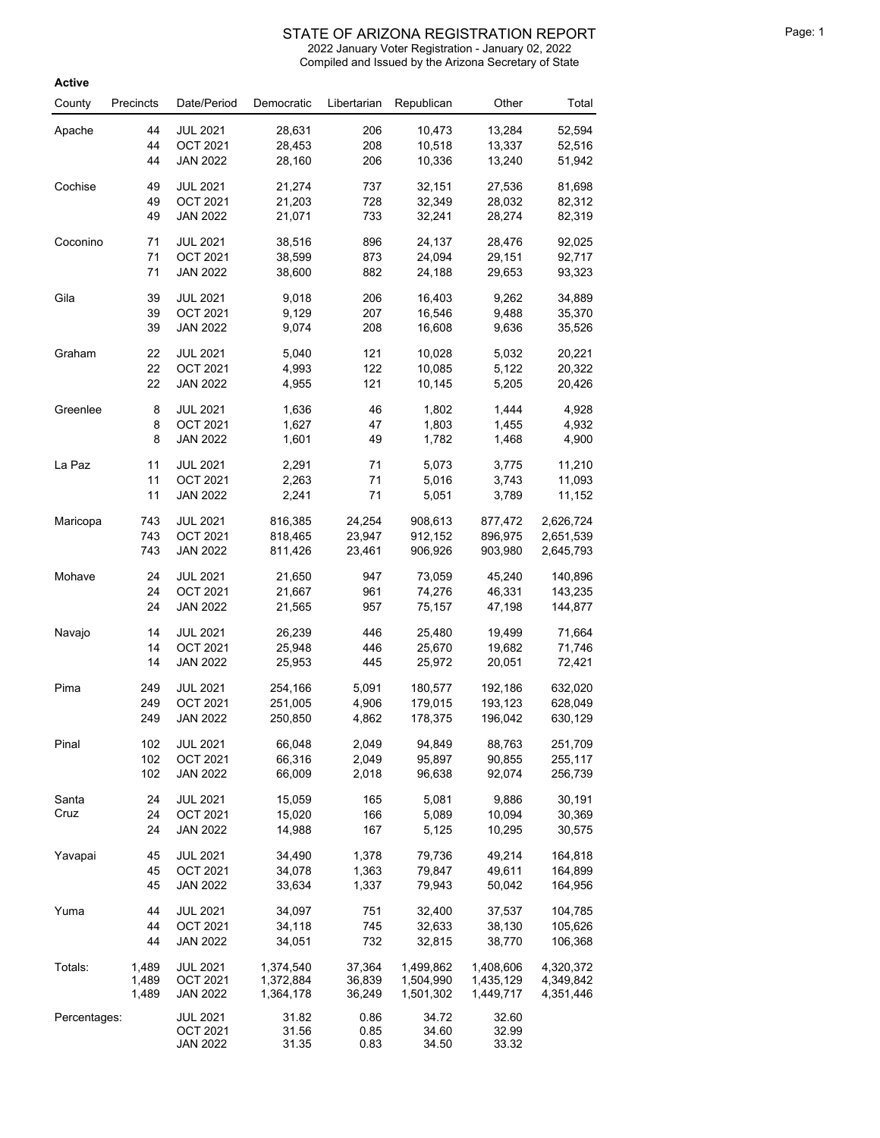| Active       |           |                                    |                  |              |                  |                  |                  |
|--------------|-----------|------------------------------------|------------------|--------------|------------------|------------------|------------------|
| County       | Precincts | Date/Period                        | Democratic       | Libertarian  | Republican       | Other            | Total            |
| Apache       | 44        | <b>JUL 2021</b>                    | 28,631           | 206          | 10,473           | 13,284           | 52,594           |
|              | 44        | <b>OCT 2021</b>                    | 28,453           | 208          | 10,518           | 13,337           | 52,516           |
|              | 44        | <b>JAN 2022</b>                    | 28,160           | 206          | 10,336           | 13,240           | 51,942           |
| Cochise      | 49        | <b>JUL 2021</b>                    | 21,274           | 737          | 32,151           | 27,536           | 81,698           |
|              | 49<br>49  | <b>OCT 2021</b><br><b>JAN 2022</b> | 21,203<br>21,071 | 728<br>733   | 32,349<br>32,241 | 28,032<br>28,274 | 82,312<br>82,319 |
|              |           |                                    |                  |              |                  |                  |                  |
| Coconino     | 71        | <b>JUL 2021</b>                    | 38,516           | 896          | 24,137           | 28,476           | 92,025           |
|              | 71<br>71  | <b>OCT 2021</b><br><b>JAN 2022</b> | 38,599<br>38,600 | 873<br>882   | 24,094<br>24,188 | 29,151<br>29,653 | 92,717<br>93,323 |
|              |           |                                    |                  |              |                  |                  |                  |
| Gila         | 39        | <b>JUL 2021</b>                    | 9,018            | 206          | 16,403           | 9,262            | 34,889           |
|              | 39<br>39  | <b>OCT 2021</b><br><b>JAN 2022</b> | 9,129<br>9,074   | 207<br>208   | 16,546<br>16,608 | 9,488<br>9,636   | 35,370<br>35,526 |
|              |           |                                    |                  |              |                  |                  |                  |
| Graham       | 22        | <b>JUL 2021</b>                    | 5,040            | 121          | 10,028           | 5,032            | 20,221           |
|              | 22<br>22  | <b>OCT 2021</b><br><b>JAN 2022</b> | 4,993<br>4,955   | 122<br>121   | 10,085<br>10,145 | 5,122<br>5,205   | 20,322<br>20,426 |
|              |           |                                    |                  |              |                  |                  |                  |
| Greenlee     | 8         | <b>JUL 2021</b>                    | 1,636            | 46           | 1,802            | 1,444            | 4,928            |
|              | 8         | <b>OCT 2021</b>                    | 1,627            | 47           | 1,803            | 1,455            | 4,932            |
|              | 8         | <b>JAN 2022</b>                    | 1,601            | 49           | 1,782            | 1,468            | 4,900            |
| La Paz       | 11        | <b>JUL 2021</b>                    | 2,291            | 71           | 5,073            | 3,775            | 11,210           |
|              | 11        | <b>OCT 2021</b>                    | 2,263            | 71           | 5,016            | 3,743            | 11,093           |
|              | 11        | <b>JAN 2022</b>                    | 2,241            | 71           | 5,051            | 3,789            | 11,152           |
| Maricopa     | 743       | <b>JUL 2021</b>                    | 816,385          | 24,254       | 908,613          | 877,472          | 2,626,724        |
|              | 743       | <b>OCT 2021</b>                    | 818,465          | 23,947       | 912,152          | 896,975          | 2,651,539        |
|              | 743       | <b>JAN 2022</b>                    | 811,426          | 23,461       | 906,926          | 903,980          | 2,645,793        |
| Mohave       | 24        | <b>JUL 2021</b>                    | 21,650           | 947          | 73,059           | 45,240           | 140,896          |
|              | 24        | <b>OCT 2021</b>                    | 21,667           | 961          | 74,276           | 46,331           | 143,235          |
|              | 24        | <b>JAN 2022</b>                    | 21,565           | 957          | 75,157           | 47,198           | 144,877          |
| Navajo       | 14        | <b>JUL 2021</b>                    | 26,239           | 446          | 25,480           | 19,499           | 71,664           |
|              | 14        | <b>OCT 2021</b>                    | 25,948           | 446          | 25,670           | 19,682           | 71,746           |
|              | 14        | <b>JAN 2022</b>                    | 25,953           | 445          | 25,972           | 20,051           | 72,421           |
| Pima         | 249       | <b>JUL 2021</b>                    | 254,166          | 5,091        | 180,577          | 192,186          | 632,020          |
|              | 249       | <b>OCT 2021</b>                    | 251,005          | 4,906        | 179,015          | 193,123          | 628,049          |
|              | 249       | <b>JAN 2022</b>                    | 250,850          | 4,862        | 178,375          | 196,042          | 630,129          |
| Pinal        | 102       | <b>JUL 2021</b>                    | 66,048           | 2,049        | 94,849           | 88,763           | 251,709          |
|              | 102       | <b>OCT 2021</b>                    | 66,316           | 2,049        | 95,897           | 90,855           | 255,117          |
|              | 102       | <b>JAN 2022</b>                    | 66,009           | 2,018        | 96,638           | 92,074           | 256,739          |
| Santa        | 24        | <b>JUL 2021</b>                    | 15,059           | 165          | 5,081            | 9,886            | 30,191           |
| Cruz         | 24        | <b>OCT 2021</b>                    | 15,020           | 166          | 5,089            | 10,094           | 30,369           |
|              | 24        | <b>JAN 2022</b>                    | 14,988           | 167          | 5,125            | 10,295           | 30,575           |
| Yavapai      | 45        | <b>JUL 2021</b>                    | 34,490           | 1,378        | 79,736           | 49,214           | 164,818          |
|              | 45        | <b>OCT 2021</b>                    | 34,078           | 1,363        | 79,847           | 49,611           | 164,899          |
|              | 45        | <b>JAN 2022</b>                    | 33,634           | 1,337        | 79,943           | 50,042           | 164,956          |
| Yuma         | 44        | <b>JUL 2021</b>                    | 34,097           | 751          | 32,400           | 37,537           | 104,785          |
|              | 44        | <b>OCT 2021</b>                    | 34,118           | 745          | 32,633           | 38,130           | 105,626          |
|              | 44        | <b>JAN 2022</b>                    | 34,051           | 732          | 32,815           | 38,770           | 106,368          |
| Totals:      | 1,489     | <b>JUL 2021</b>                    | 1,374,540        | 37,364       | 1,499,862        | 1,408,606        | 4,320,372        |
|              | 1,489     | <b>OCT 2021</b>                    | 1,372,884        | 36,839       | 1,504,990        | 1,435,129        | 4,349,842        |
|              | 1,489     | <b>JAN 2022</b>                    | 1,364,178        | 36,249       | 1,501,302        | 1,449,717        | 4,351,446        |
| Percentages: |           | <b>JUL 2021</b>                    | 31.82            | 0.86         | 34.72            | 32.60            |                  |
|              |           | <b>OCT 2021</b><br><b>JAN 2022</b> | 31.56<br>31.35   | 0.85<br>0.83 | 34.60<br>34.50   | 32.99<br>33.32   |                  |
|              |           |                                    |                  |              |                  |                  |                  |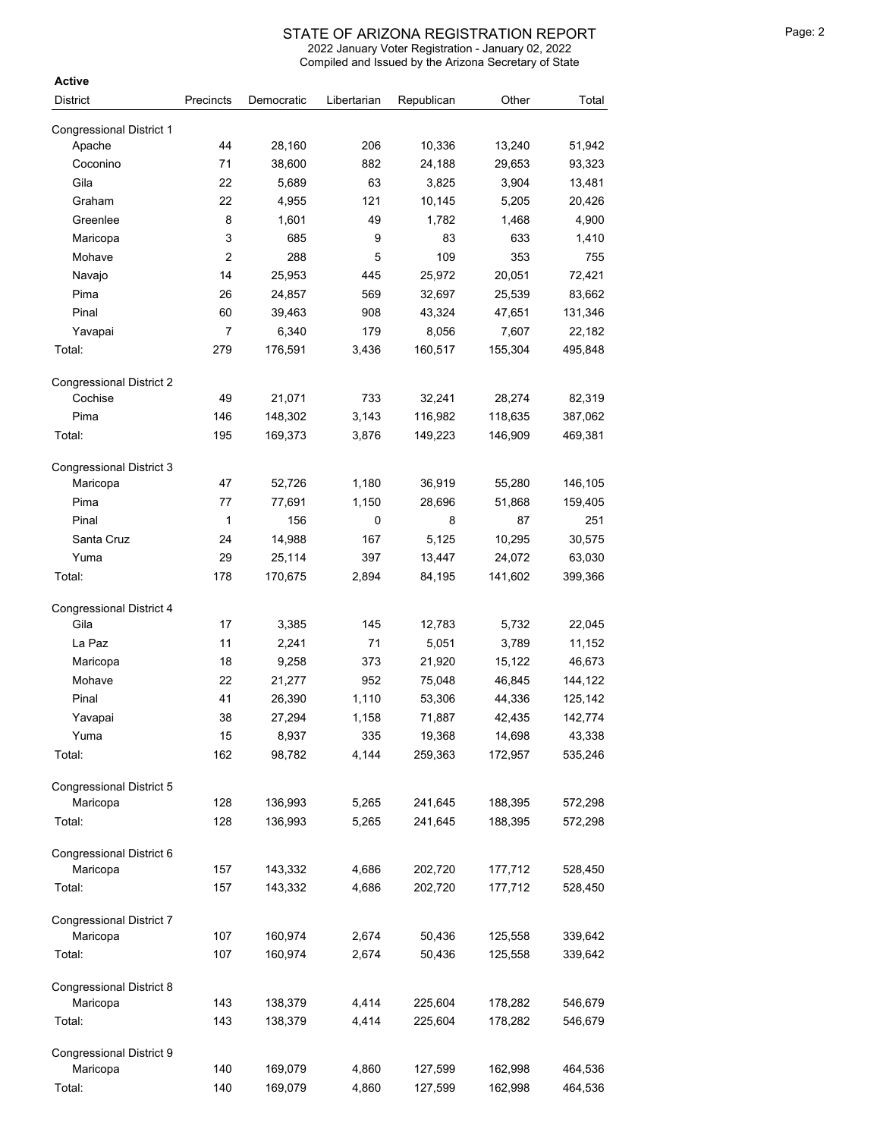Compiled and Issued by the Arizona Secretary of State 2022 January Voter Registration - January 02, 2022

| <b>Active</b>                   |                |            |             |            |         |         |
|---------------------------------|----------------|------------|-------------|------------|---------|---------|
| <b>District</b>                 | Precincts      | Democratic | Libertarian | Republican | Other   | Total   |
| <b>Congressional District 1</b> |                |            |             |            |         |         |
| Apache                          | 44             | 28,160     | 206         | 10,336     | 13,240  | 51,942  |
| Coconino                        | 71             | 38,600     | 882         | 24,188     | 29,653  | 93,323  |
| Gila                            | 22             | 5,689      | 63          | 3,825      | 3,904   | 13,481  |
| Graham                          | 22             | 4,955      | 121         | 10,145     | 5,205   | 20,426  |
| Greenlee                        | 8              | 1,601      | 49          | 1,782      | 1,468   | 4,900   |
| Maricopa                        | 3              | 685        | 9           | 83         | 633     | 1,410   |
| Mohave                          | $\overline{c}$ | 288        | 5           | 109        | 353     | 755     |
| Navajo                          | 14             | 25,953     | 445         | 25,972     | 20,051  | 72,421  |
| Pima                            | 26             | 24,857     | 569         | 32,697     | 25,539  | 83,662  |
| Pinal                           | 60             | 39,463     | 908         | 43,324     | 47,651  | 131,346 |
| Yavapai                         | 7              | 6,340      | 179         | 8,056      | 7,607   | 22,182  |
| Total:                          | 279            | 176,591    | 3,436       | 160,517    | 155,304 | 495,848 |
| <b>Congressional District 2</b> |                |            |             |            |         |         |
| Cochise                         | 49             | 21,071     | 733         | 32,241     | 28,274  | 82,319  |
| Pima                            | 146            | 148,302    | 3,143       | 116,982    | 118,635 | 387,062 |
| Total:                          | 195            | 169,373    | 3,876       | 149,223    | 146,909 | 469,381 |
| <b>Congressional District 3</b> |                |            |             |            |         |         |
| Maricopa                        | 47             | 52,726     | 1,180       | 36,919     | 55,280  | 146,105 |
| Pima                            | 77             | 77,691     | 1,150       | 28,696     | 51,868  | 159,405 |
| Pinal                           | 1              | 156        | 0           | 8          | 87      | 251     |
| Santa Cruz                      | 24             | 14,988     | 167         | 5,125      | 10,295  | 30,575  |
| Yuma                            | 29             | 25,114     | 397         | 13,447     | 24,072  | 63,030  |
| Total:                          | 178            | 170,675    | 2,894       | 84,195     | 141,602 | 399,366 |
| <b>Congressional District 4</b> |                |            |             |            |         |         |
| Gila                            | 17             | 3,385      | 145         | 12,783     | 5,732   | 22,045  |
| La Paz                          | 11             | 2,241      | 71          | 5,051      | 3,789   | 11,152  |
| Maricopa                        | 18             | 9,258      | 373         | 21,920     | 15,122  | 46,673  |
| Mohave                          | 22             | 21,277     | 952         | 75,048     | 46,845  | 144,122 |
| Pinal                           | 41             | 26,390     | 1,110       | 53,306     | 44,336  | 125,142 |
| Yavapai                         | 38             | 27,294     | 1,158       | 71,887     | 42,435  | 142,774 |
| Yuma                            | 15             | 8,937      | 335         | 19,368     | 14,698  | 43,338  |
| Total:                          | 162            | 98,782     | 4,144       | 259,363    | 172,957 | 535,246 |
| <b>Congressional District 5</b> |                |            |             |            |         |         |
| Maricopa                        | 128            | 136,993    | 5,265       | 241,645    | 188,395 | 572,298 |
| Total:                          | 128            | 136,993    | 5,265       | 241,645    | 188,395 | 572,298 |
| Congressional District 6        |                |            |             |            |         |         |
| Maricopa                        | 157            | 143,332    | 4,686       | 202,720    | 177,712 | 528,450 |
| Total:                          | 157            | 143,332    | 4,686       | 202,720    | 177,712 | 528,450 |
| <b>Congressional District 7</b> |                |            |             |            |         |         |
| Maricopa                        | 107            | 160,974    | 2,674       | 50,436     | 125,558 | 339,642 |
| Total:                          | 107            | 160,974    | 2,674       | 50,436     | 125,558 | 339,642 |
| Congressional District 8        |                |            |             |            |         |         |
| Maricopa                        | 143            | 138,379    | 4,414       | 225,604    | 178,282 | 546,679 |
| Total:                          | 143            | 138,379    | 4,414       | 225,604    | 178,282 | 546,679 |
| Congressional District 9        |                |            |             |            |         |         |
| Maricopa                        | 140            | 169,079    | 4,860       | 127,599    | 162,998 | 464,536 |
| Total:                          | 140            | 169,079    | 4,860       | 127,599    | 162,998 | 464,536 |

<sup>140</sup> 169,079 4,860 127,599 162,998 464,536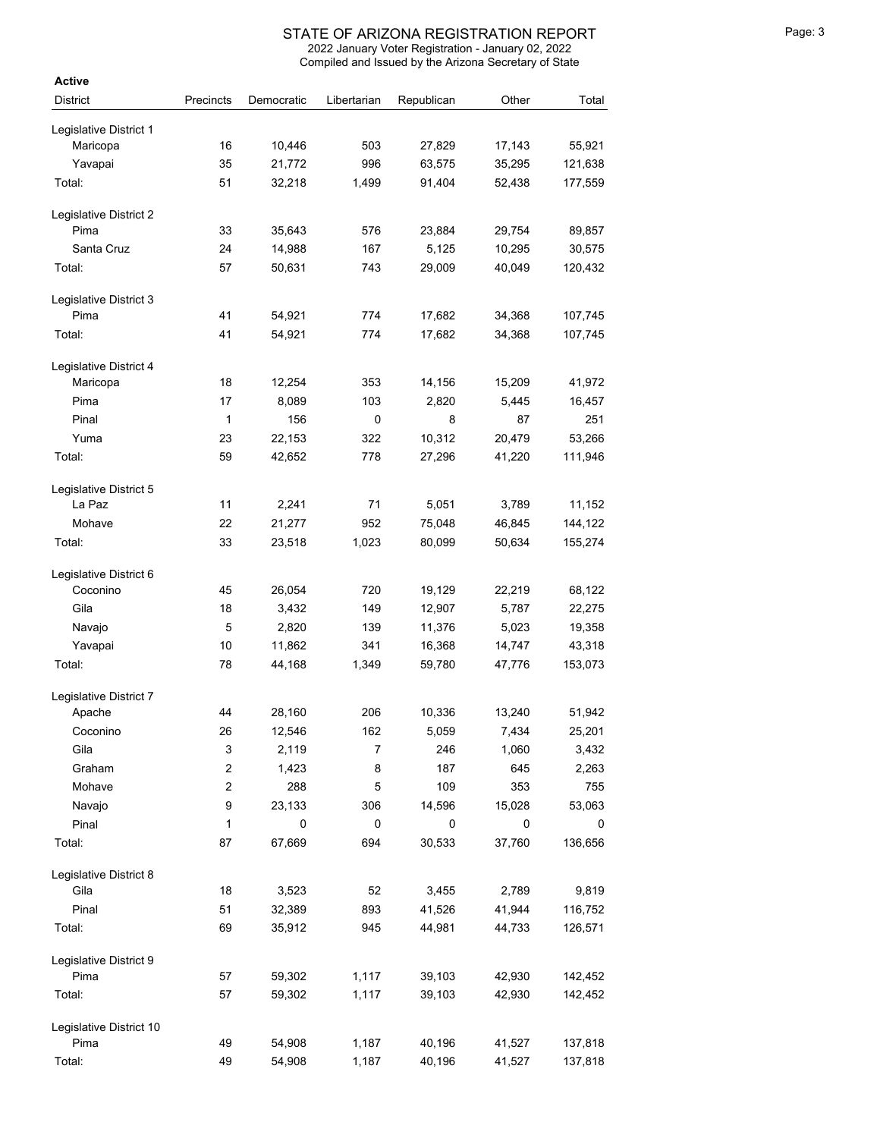| <b>Active</b>                      |                         |            |             |            |        |         |
|------------------------------------|-------------------------|------------|-------------|------------|--------|---------|
| <b>District</b>                    | Precincts               | Democratic | Libertarian | Republican | Other  | Total   |
| Legislative District 1             |                         |            |             |            |        |         |
| Maricopa                           | 16                      | 10,446     | 503         | 27,829     | 17,143 | 55,921  |
| Yavapai                            | 35                      | 21,772     | 996         | 63,575     | 35,295 | 121,638 |
| Total:                             | 51                      | 32,218     | 1,499       | 91,404     | 52,438 | 177,559 |
|                                    |                         |            |             |            |        |         |
| Legislative District 2             |                         |            |             |            |        |         |
| Pima                               | 33                      | 35,643     | 576         | 23,884     | 29,754 | 89,857  |
| Santa Cruz                         | 24                      | 14,988     | 167         | 5,125      | 10,295 | 30,575  |
| Total:                             | 57                      | 50,631     | 743         | 29,009     | 40,049 | 120,432 |
| Legislative District 3             |                         |            |             |            |        |         |
| Pima                               | 41                      | 54,921     | 774         | 17,682     | 34,368 | 107,745 |
| Total:                             | 41                      | 54,921     | 774         | 17,682     | 34,368 | 107,745 |
|                                    |                         |            |             |            |        |         |
| Legislative District 4<br>Maricopa | 18                      | 12,254     | 353         | 14,156     | 15,209 | 41,972  |
| Pima                               | 17                      | 8,089      | 103         | 2,820      | 5,445  | 16,457  |
| Pinal                              | 1                       | 156        | 0           | 8          | 87     | 251     |
|                                    | 23                      | 22,153     |             | 10,312     |        | 53,266  |
| Yuma                               |                         |            | 322         |            | 20,479 |         |
| Total:                             | 59                      | 42,652     | 778         | 27,296     | 41,220 | 111,946 |
| Legislative District 5             |                         |            |             |            |        |         |
| La Paz                             | 11                      | 2,241      | 71          | 5,051      | 3,789  | 11,152  |
| Mohave                             | 22                      | 21,277     | 952         | 75,048     | 46,845 | 144,122 |
| Total:                             | 33                      | 23,518     | 1,023       | 80,099     | 50,634 | 155,274 |
|                                    |                         |            |             |            |        |         |
| Legislative District 6<br>Coconino | 45                      |            | 720         | 19,129     | 22,219 |         |
| Gila                               |                         | 26,054     |             |            |        | 68,122  |
|                                    | 18                      | 3,432      | 149         | 12,907     | 5,787  | 22,275  |
| Navajo                             | 5                       | 2,820      | 139         | 11,376     | 5,023  | 19,358  |
| Yavapai                            | 10                      | 11,862     | 341         | 16,368     | 14,747 | 43,318  |
| Total:                             | 78                      | 44,168     | 1,349       | 59,780     | 47,776 | 153,073 |
| Legislative District 7             |                         |            |             |            |        |         |
| Apache                             | 44                      | 28,160     | 206         | 10,336     | 13,240 | 51,942  |
| Coconino                           | 26                      | 12,546     | 162         | 5,059      | 7,434  | 25,201  |
| Gila                               | 3                       | 2,119      | 7           | 246        | 1,060  | 3,432   |
| Graham                             | $\overline{\mathbf{c}}$ | 1,423      | 8           | 187        | 645    | 2,263   |
| Mohave                             | $\overline{\mathbf{c}}$ | 288        | 5           | 109        | 353    | 755     |
| Navajo                             | 9                       | 23,133     | 306         | 14,596     | 15,028 | 53,063  |
| Pinal                              | $\mathbf{1}$            | 0          | 0           | 0          | 0      | 0       |
| Total:                             | 87                      | 67,669     | 694         | 30,533     | 37,760 | 136,656 |
| Legislative District 8             |                         |            |             |            |        |         |
| Gila                               | 18                      | 3,523      | 52          | 3,455      | 2,789  | 9,819   |
| Pinal                              | 51                      | 32,389     | 893         | 41,526     | 41,944 | 116,752 |
| Total:                             | 69                      | 35,912     | 945         | 44,981     | 44,733 | 126,571 |
|                                    |                         |            |             |            |        |         |
| Legislative District 9             |                         |            |             |            |        |         |
| Pima                               | 57                      | 59,302     | 1,117       | 39,103     | 42,930 | 142,452 |
| Total:                             | 57                      | 59,302     | 1,117       | 39,103     | 42,930 | 142,452 |
| Legislative District 10            |                         |            |             |            |        |         |
| Pima                               | 49                      | 54,908     | 1,187       | 40,196     | 41,527 | 137,818 |
| Total:                             | 49                      | 54,908     | 1,187       | 40,196     | 41,527 | 137,818 |
|                                    |                         |            |             |            |        |         |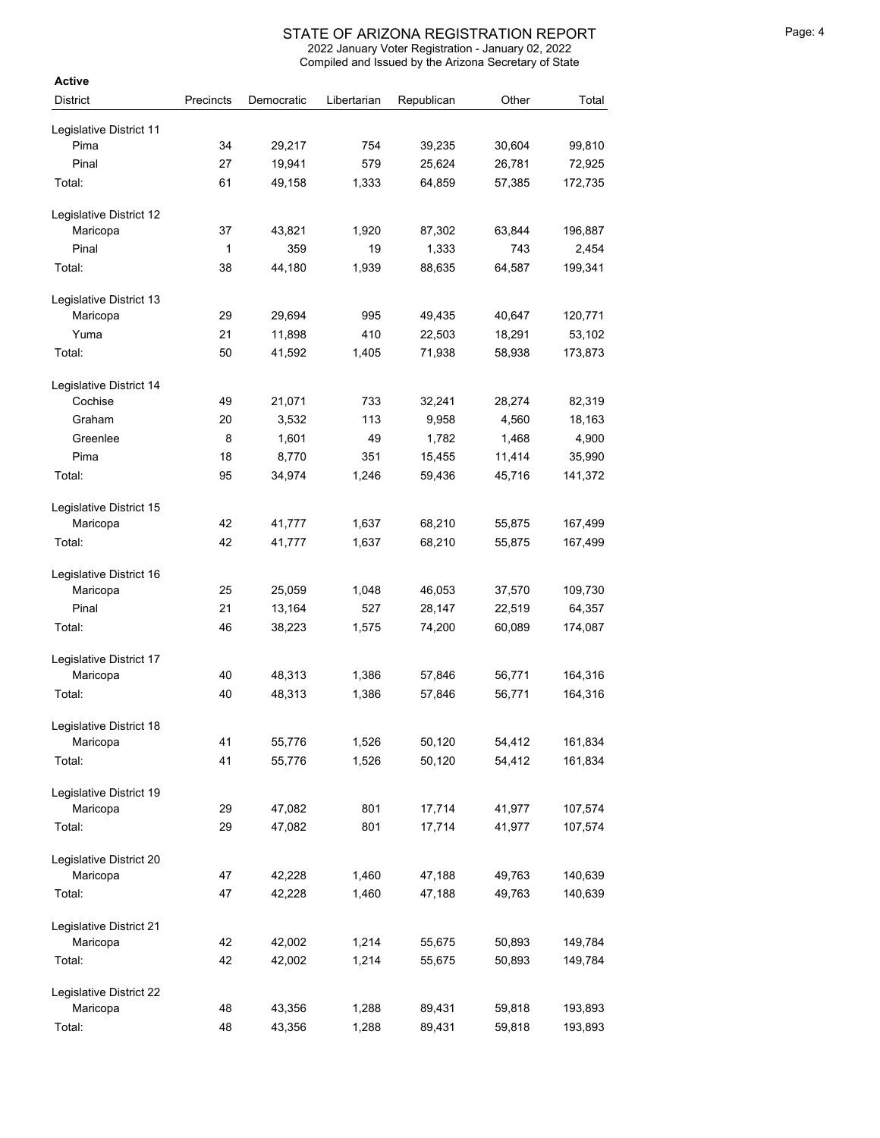| <b>Active</b>           |           |            |             |            |        |         |
|-------------------------|-----------|------------|-------------|------------|--------|---------|
| <b>District</b>         | Precincts | Democratic | Libertarian | Republican | Other  | Total   |
| Legislative District 11 |           |            |             |            |        |         |
| Pima                    | 34        | 29,217     | 754         | 39,235     | 30,604 | 99,810  |
| Pinal                   | 27        | 19,941     | 579         | 25,624     | 26,781 | 72,925  |
| Total:                  | 61        | 49,158     | 1,333       | 64,859     | 57,385 | 172,735 |
| Legislative District 12 |           |            |             |            |        |         |
| Maricopa                | 37        | 43,821     | 1,920       | 87,302     | 63,844 | 196,887 |
| Pinal                   | 1         | 359        | 19          | 1,333      | 743    | 2,454   |
| Total:                  | 38        | 44,180     | 1,939       | 88,635     | 64,587 | 199,341 |
| Legislative District 13 |           |            |             |            |        |         |
| Maricopa                | 29        | 29,694     | 995         | 49,435     | 40,647 | 120,771 |
| Yuma                    | 21        | 11,898     | 410         | 22,503     | 18,291 | 53,102  |
| Total:                  | 50        | 41,592     | 1,405       | 71,938     | 58,938 | 173,873 |
| Legislative District 14 |           |            |             |            |        |         |
| Cochise                 | 49        | 21,071     | 733         | 32,241     | 28,274 | 82,319  |
| Graham                  | 20        | 3,532      | 113         | 9,958      | 4,560  | 18,163  |
| Greenlee                | 8         | 1,601      | 49          | 1,782      | 1,468  | 4,900   |
| Pima                    | 18        | 8,770      | 351         | 15,455     | 11,414 | 35,990  |
| Total:                  | 95        | 34,974     | 1,246       | 59,436     | 45,716 | 141,372 |
| Legislative District 15 |           |            |             |            |        |         |
| Maricopa                | 42        | 41,777     | 1,637       | 68,210     | 55,875 | 167,499 |
| Total:                  | 42        | 41,777     | 1,637       | 68,210     | 55,875 | 167,499 |
| Legislative District 16 |           |            |             |            |        |         |
| Maricopa                | 25        | 25,059     | 1,048       | 46,053     | 37,570 | 109,730 |
| Pinal                   | 21        | 13,164     | 527         | 28,147     | 22,519 | 64,357  |
| Total:                  | 46        | 38,223     | 1,575       | 74,200     | 60,089 | 174,087 |
| Legislative District 17 |           |            |             |            |        |         |
| Maricopa                | 40        | 48,313     | 1,386       | 57,846     | 56,771 | 164,316 |
| Total:                  | 40        | 48,313     | 1,386       | 57,846     | 56,771 | 164,316 |
| Legislative District 18 |           |            |             |            |        |         |
| Maricopa                | 41        | 55,776     | 1,526       | 50,120     | 54,412 | 161,834 |
| Total:                  | 41        | 55,776     | 1,526       | 50,120     | 54,412 | 161,834 |
| Legislative District 19 |           |            |             |            |        |         |
| Maricopa                | 29        | 47,082     | 801         | 17,714     | 41,977 | 107,574 |
| Total:                  | 29        | 47,082     | 801         | 17,714     | 41,977 | 107,574 |
| Legislative District 20 |           |            |             |            |        |         |
| Maricopa                | 47        | 42,228     | 1,460       | 47,188     | 49,763 | 140,639 |
| Total:                  | 47        | 42,228     | 1,460       | 47,188     | 49,763 | 140,639 |
| Legislative District 21 |           |            |             |            |        |         |
| Maricopa                | 42        | 42,002     | 1,214       | 55,675     | 50,893 | 149,784 |
| Total:                  | 42        | 42,002     | 1,214       | 55,675     | 50,893 | 149,784 |
| Legislative District 22 |           |            |             |            |        |         |
| Maricopa                | 48        | 43,356     | 1,288       | 89,431     | 59,818 | 193,893 |
| Total:                  | 48        | 43,356     | 1,288       | 89,431     | 59,818 | 193,893 |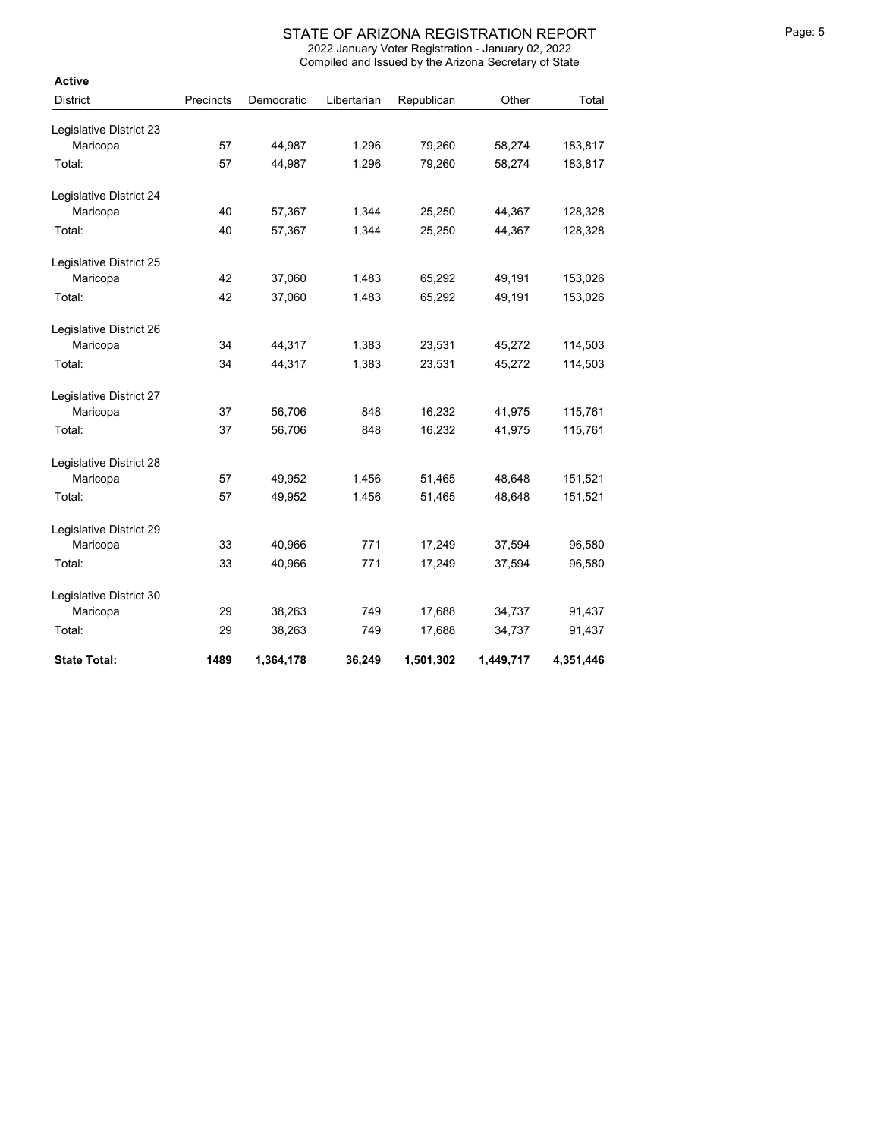| <b>Active</b>           |           |            |             |            |           |           |
|-------------------------|-----------|------------|-------------|------------|-----------|-----------|
| <b>District</b>         | Precincts | Democratic | Libertarian | Republican | Other     | Total     |
| Legislative District 23 |           |            |             |            |           |           |
| Maricopa                | 57        | 44,987     | 1,296       | 79,260     | 58,274    | 183,817   |
| Total:                  | 57        | 44,987     | 1,296       | 79,260     | 58,274    | 183,817   |
| Legislative District 24 |           |            |             |            |           |           |
| Maricopa                | 40        | 57,367     | 1,344       | 25,250     | 44,367    | 128,328   |
| Total:                  | 40        | 57,367     | 1,344       | 25,250     | 44,367    | 128,328   |
| Legislative District 25 |           |            |             |            |           |           |
| Maricopa                | 42        | 37,060     | 1,483       | 65,292     | 49,191    | 153,026   |
| Total:                  | 42        | 37,060     | 1,483       | 65,292     | 49,191    | 153,026   |
| Legislative District 26 |           |            |             |            |           |           |
| Maricopa                | 34        | 44,317     | 1,383       | 23,531     | 45,272    | 114,503   |
| Total:                  | 34        | 44,317     | 1,383       | 23,531     | 45,272    | 114,503   |
| Legislative District 27 |           |            |             |            |           |           |
| Maricopa                | 37        | 56,706     | 848         | 16,232     | 41,975    | 115,761   |
| Total:                  | 37        | 56,706     | 848         | 16,232     | 41,975    | 115,761   |
| Legislative District 28 |           |            |             |            |           |           |
| Maricopa                | 57        | 49,952     | 1,456       | 51,465     | 48,648    | 151,521   |
| Total:                  | 57        | 49,952     | 1,456       | 51,465     | 48,648    | 151,521   |
| Legislative District 29 |           |            |             |            |           |           |
| Maricopa                | 33        | 40,966     | 771         | 17,249     | 37,594    | 96,580    |
| Total:                  | 33        | 40,966     | 771         | 17,249     | 37,594    | 96,580    |
| Legislative District 30 |           |            |             |            |           |           |
| Maricopa                | 29        | 38,263     | 749         | 17,688     | 34,737    | 91,437    |
| Total:                  | 29        | 38,263     | 749         | 17,688     | 34,737    | 91,437    |
| <b>State Total:</b>     | 1489      | 1,364,178  | 36,249      | 1,501,302  | 1,449,717 | 4,351,446 |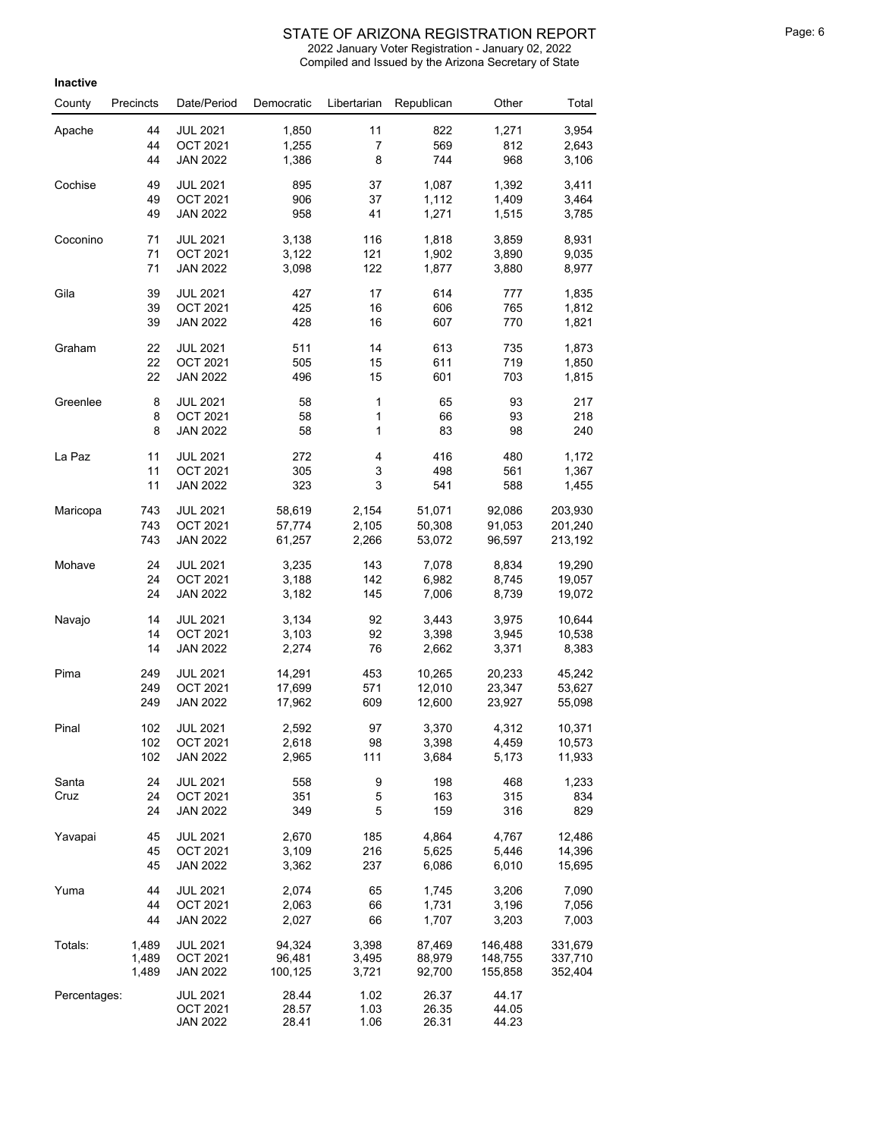| Inactive     |           |                                    |                |              |                |                |         |
|--------------|-----------|------------------------------------|----------------|--------------|----------------|----------------|---------|
| County       | Precincts | Date/Period                        | Democratic     | Libertarian  | Republican     | Other          | Total   |
| Apache       | 44        | <b>JUL 2021</b>                    | 1,850          | 11           | 822            | 1,271          | 3,954   |
|              | 44        | OCT 2021                           | 1,255          | 7            | 569            | 812            | 2,643   |
|              | 44        | <b>JAN 2022</b>                    | 1,386          | 8            | 744            | 968            | 3,106   |
| Cochise      | 49        | <b>JUL 2021</b>                    | 895            | 37           | 1,087          | 1,392          | 3,411   |
|              | 49        | <b>OCT 2021</b>                    | 906            | 37           | 1,112          | 1,409          | 3,464   |
|              | 49        | <b>JAN 2022</b>                    | 958            | 41           | 1,271          | 1,515          | 3,785   |
| Coconino     | 71        | <b>JUL 2021</b>                    | 3,138          | 116          | 1,818          | 3,859          | 8,931   |
|              | 71        | <b>OCT 2021</b>                    | 3,122          | 121          | 1,902          | 3,890          | 9,035   |
|              | 71        | <b>JAN 2022</b>                    | 3,098          | 122          | 1,877          | 3,880          | 8,977   |
| Gila         | 39        | <b>JUL 2021</b>                    | 427            | 17           | 614            | 777            | 1,835   |
|              | 39        | <b>OCT 2021</b>                    | 425            | 16           | 606            | 765            | 1,812   |
|              | 39        | <b>JAN 2022</b>                    | 428            | 16           | 607            | 770            | 1,821   |
| Graham       | 22        | <b>JUL 2021</b>                    | 511            | 14           | 613            | 735            | 1,873   |
|              | 22        | <b>OCT 2021</b>                    | 505            | 15           | 611            | 719            | 1,850   |
|              | 22        | <b>JAN 2022</b>                    | 496            | 15           | 601            | 703            | 1,815   |
| Greenlee     | 8         | <b>JUL 2021</b>                    | 58             | 1            | 65             | 93             | 217     |
|              | 8         | <b>OCT 2021</b>                    | 58             | 1            | 66             | 93             | 218     |
|              | 8         | <b>JAN 2022</b>                    | 58             | 1            | 83             | 98             | 240     |
| La Paz       | 11        | <b>JUL 2021</b>                    | 272            | 4            | 416            | 480            | 1,172   |
|              | 11        | <b>OCT 2021</b>                    | 305            | 3            | 498            | 561            | 1,367   |
|              | 11        | <b>JAN 2022</b>                    | 323            | 3            | 541            | 588            | 1,455   |
| Maricopa     | 743       | <b>JUL 2021</b>                    | 58,619         | 2,154        | 51,071         | 92,086         | 203,930 |
|              | 743       | <b>OCT 2021</b>                    | 57,774         | 2,105        | 50,308         | 91,053         | 201,240 |
|              | 743       | <b>JAN 2022</b>                    | 61,257         | 2,266        | 53,072         | 96,597         | 213,192 |
| Mohave       | 24        | <b>JUL 2021</b>                    | 3,235          | 143          | 7,078          | 8,834          | 19,290  |
|              | 24        | <b>OCT 2021</b>                    | 3,188          | 142          | 6,982          | 8,745          | 19,057  |
|              | 24        | <b>JAN 2022</b>                    | 3,182          | 145          | 7,006          | 8,739          | 19,072  |
| Navajo       | 14        | <b>JUL 2021</b>                    | 3,134          | 92           | 3,443          | 3,975          | 10,644  |
|              | 14        | <b>OCT 2021</b>                    | 3,103          | 92           | 3,398          | 3,945          | 10,538  |
|              | 14        | <b>JAN 2022</b>                    | 2,274          | 76           | 2,662          | 3,371          | 8,383   |
| Pima         | 249       | <b>JUL 2021</b>                    | 14,291         | 453          | 10,265         | 20,233         | 45,242  |
|              | 249       | <b>OCT 2021</b>                    | 17,699         | 571          | 12,010         | 23,347         | 53,627  |
|              | 249       | <b>JAN 2022</b>                    | 17,962         | 609          | 12,600         | 23,927         | 55,098  |
| Pinal        | 102       | <b>JUL 2021</b>                    | 2,592          | 97           | 3,370          | 4,312          | 10,371  |
|              | 102       | <b>OCT 2021</b>                    | 2,618          | 98           | 3,398          | 4,459          | 10,573  |
|              | 102       | <b>JAN 2022</b>                    | 2,965          | 111          | 3,684          | 5,173          | 11,933  |
| Santa        | 24        | <b>JUL 2021</b>                    | 558            | 9            | 198            | 468            | 1,233   |
| Cruz         | 24        | <b>OCT 2021</b>                    | 351            | 5            | 163            | 315            | 834     |
|              | 24        | <b>JAN 2022</b>                    | 349            | 5            | 159            | 316            | 829     |
| Yavapai      | 45        | <b>JUL 2021</b>                    | 2,670          | 185          | 4,864          | 4,767          | 12,486  |
|              | 45        | <b>OCT 2021</b>                    | 3,109          | 216          | 5,625          | 5,446          | 14,396  |
|              | 45        | <b>JAN 2022</b>                    | 3,362          | 237          | 6,086          | 6,010          | 15,695  |
| Yuma         | 44        | <b>JUL 2021</b>                    | 2,074          | 65           | 1,745          | 3,206          | 7,090   |
|              | 44        | <b>OCT 2021</b>                    | 2,063          | 66           | 1,731          | 3,196          | 7,056   |
|              | 44        | <b>JAN 2022</b>                    | 2,027          | 66           | 1,707          | 3,203          | 7,003   |
| Totals:      | 1,489     | <b>JUL 2021</b>                    | 94,324         | 3,398        | 87,469         | 146,488        | 331,679 |
|              | 1,489     | OCT 2021                           | 96,481         | 3,495        | 88,979         | 148,755        | 337,710 |
|              | 1,489     | JAN 2022                           | 100,125        | 3,721        | 92,700         | 155,858        | 352,404 |
| Percentages: |           | <b>JUL 2021</b>                    | 28.44          | 1.02         | 26.37          | 44.17          |         |
|              |           | <b>OCT 2021</b><br><b>JAN 2022</b> | 28.57<br>28.41 | 1.03<br>1.06 | 26.35<br>26.31 | 44.05<br>44.23 |         |
|              |           |                                    |                |              |                |                |         |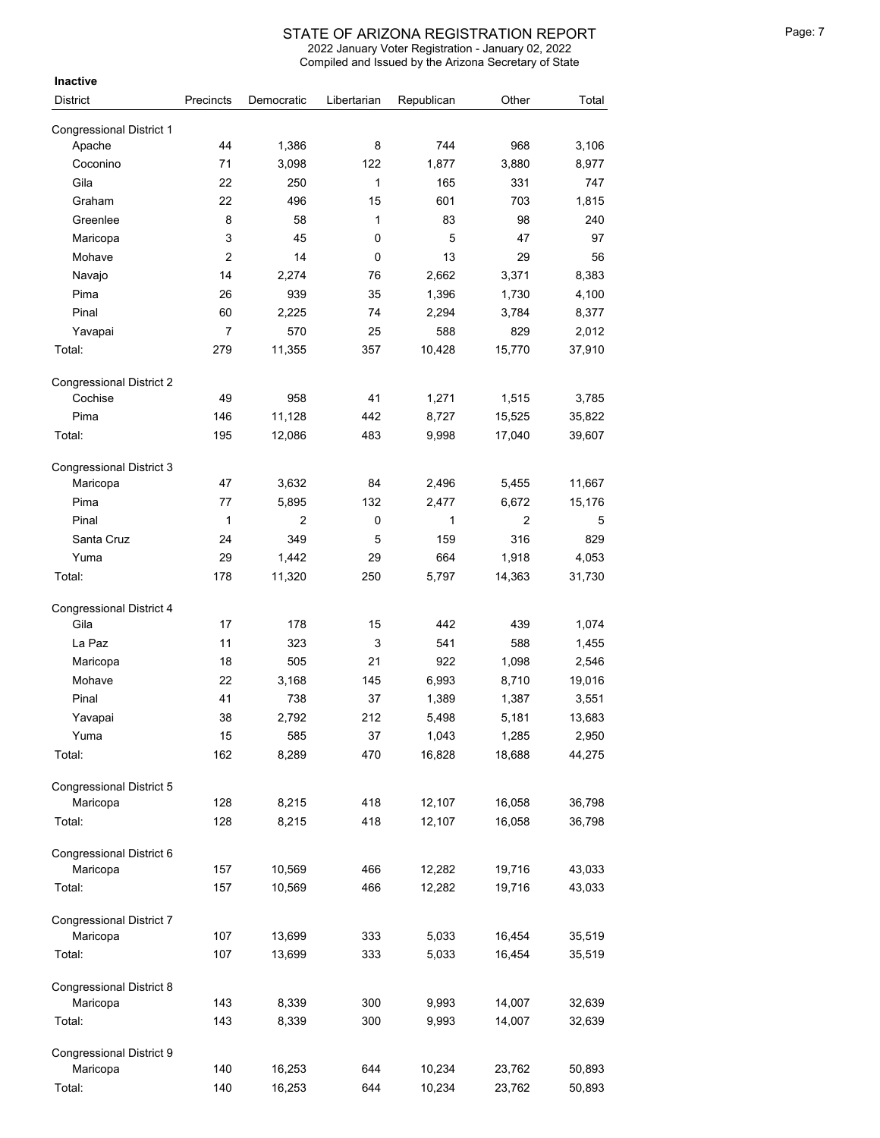Compiled and Issued by the Arizona Secretary of State 2022 January Voter Registration - January 02, 2022

| <b>Inactive</b>                           |                |                |             |            |                |        |
|-------------------------------------------|----------------|----------------|-------------|------------|----------------|--------|
| <b>District</b>                           | Precincts      | Democratic     | Libertarian | Republican | Other          | Total  |
|                                           |                |                |             |            |                |        |
| <b>Congressional District 1</b><br>Apache | 44             | 1,386          | 8           | 744        | 968            | 3,106  |
| Coconino                                  | 71             | 3,098          | 122         | 1,877      | 3,880          | 8,977  |
| Gila                                      | 22             | 250            | 1           | 165        | 331            | 747    |
| Graham                                    | 22             | 496            | 15          | 601        | 703            | 1,815  |
| Greenlee                                  | 8              | 58             | 1           | 83         | 98             | 240    |
| Maricopa                                  | 3              | 45             | 0           | 5          | 47             | 97     |
| Mohave                                    | $\overline{c}$ | 14             | 0           | 13         | 29             | 56     |
| Navajo                                    | 14             | 2,274          | 76          | 2,662      | 3,371          | 8,383  |
| Pima                                      | 26             | 939            | 35          | 1,396      | 1,730          | 4,100  |
| Pinal                                     | 60             | 2,225          | 74          | 2,294      | 3,784          | 8,377  |
| Yavapai                                   | 7              | 570            | 25          | 588        | 829            | 2,012  |
| Total:                                    | 279            | 11,355         | 357         | 10,428     | 15,770         | 37,910 |
| <b>Congressional District 2</b>           |                |                |             |            |                |        |
| Cochise                                   | 49             | 958            | 41          | 1,271      | 1,515          | 3,785  |
| Pima                                      | 146            | 11,128         | 442         | 8,727      | 15,525         | 35,822 |
| Total:                                    | 195            | 12,086         | 483         | 9,998      | 17,040         | 39,607 |
| <b>Congressional District 3</b>           |                |                |             |            |                |        |
| Maricopa                                  | 47             | 3,632          | 84          | 2,496      | 5,455          | 11,667 |
| Pima                                      | 77             | 5,895          | 132         | 2,477      | 6,672          | 15,176 |
| Pinal                                     | 1              | $\overline{2}$ | 0           | 1          | $\overline{c}$ | 5      |
| Santa Cruz                                | 24             | 349            | 5           | 159        | 316            | 829    |
| Yuma                                      | 29             | 1,442          | 29          | 664        | 1,918          | 4,053  |
| Total:                                    | 178            | 11,320         | 250         | 5,797      | 14,363         | 31,730 |
| <b>Congressional District 4</b>           |                |                |             |            |                |        |
| Gila                                      | 17             | 178            | 15          | 442        | 439            | 1,074  |
| La Paz                                    | 11             | 323            | 3           | 541        | 588            | 1,455  |
| Maricopa                                  | 18             | 505            | 21          | 922        | 1,098          | 2,546  |
| Mohave                                    | 22             | 3,168          | 145         | 6,993      | 8,710          | 19,016 |
| Pinal                                     | 41             | 738            | 37          | 1,389      | 1,387          | 3,551  |
| Yavapai                                   | 38             | 2,792          | 212         | 5,498      | 5,181          | 13,683 |
| Yuma                                      | 15             | 585            | 37          | 1,043      | 1,285          | 2,950  |
| Total:                                    | 162            | 8,289          | 470         | 16,828     | 18,688         | 44,275 |
| Congressional District 5                  |                |                |             |            |                |        |
| Maricopa                                  | 128            | 8,215          | 418         | 12,107     | 16,058         | 36,798 |
| Total:                                    | 128            | 8,215          | 418         | 12,107     | 16,058         | 36,798 |
| Congressional District 6                  |                |                |             |            |                |        |
| Maricopa                                  | 157            | 10,569         | 466         | 12,282     | 19,716         | 43,033 |
| Total:                                    | 157            | 10,569         | 466         | 12,282     | 19,716         | 43,033 |
| Congressional District 7                  |                |                |             |            |                |        |
| Maricopa                                  | 107            | 13,699         | 333         | 5,033      | 16,454         | 35,519 |
| Total:                                    | 107            | 13,699         | 333         | 5,033      | 16,454         | 35,519 |
| Congressional District 8                  |                |                |             |            |                |        |
| Maricopa                                  | 143            | 8,339          | 300         | 9,993      | 14,007         | 32,639 |
| Total:                                    | 143            | 8,339          | 300         | 9,993      | 14,007         | 32,639 |
| Congressional District 9                  |                |                |             |            |                |        |
| Maricopa                                  | 140            | 16,253         | 644         | 10,234     | 23,762         | 50,893 |
| Total:                                    | 140            | 16,253         | 644         | 10,234     | 23,762         | 50,893 |

<sup>140</sup> 16,253 <sup>644</sup> 10,234 23,762 50,893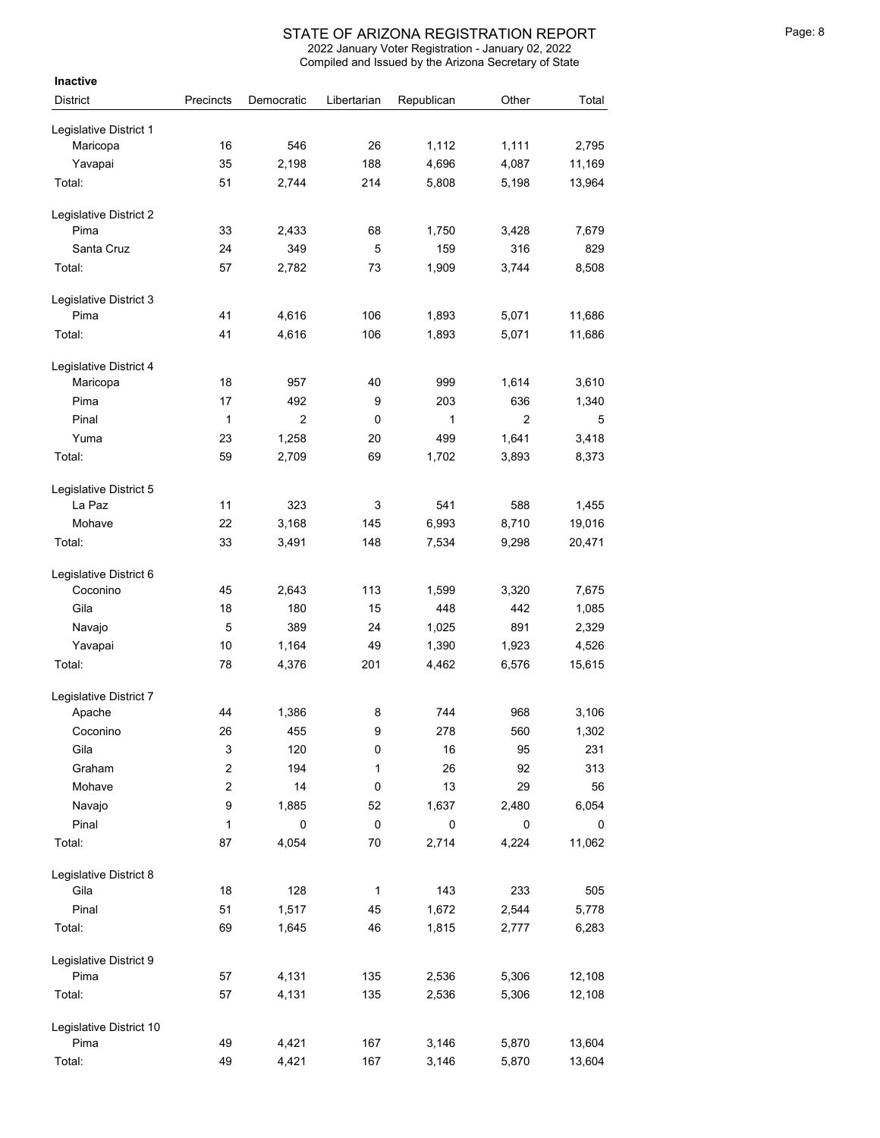| Inactive                           |                         |                |             |            |                |        |
|------------------------------------|-------------------------|----------------|-------------|------------|----------------|--------|
| <b>District</b>                    | Precincts               | Democratic     | Libertarian | Republican | Other          | Total  |
| Legislative District 1             |                         |                |             |            |                |        |
| Maricopa                           | 16                      | 546            | 26          | 1,112      | 1,111          | 2,795  |
| Yavapai                            | 35                      | 2,198          | 188         | 4,696      | 4,087          | 11,169 |
| Total:                             | 51                      | 2,744          | 214         | 5,808      | 5,198          | 13,964 |
|                                    |                         |                |             |            |                |        |
| Legislative District 2             |                         |                |             |            |                |        |
| Pima                               | 33                      | 2,433          | 68          | 1,750      | 3,428          | 7,679  |
| Santa Cruz                         | 24                      | 349            | 5           | 159        | 316            | 829    |
| Total:                             | 57                      | 2,782          | 73          | 1,909      | 3,744          | 8,508  |
| Legislative District 3             |                         |                |             |            |                |        |
| Pima                               | 41                      | 4,616          | 106         | 1,893      | 5,071          | 11,686 |
| Total:                             | 41                      | 4,616          | 106         | 1,893      | 5,071          | 11,686 |
|                                    |                         |                |             |            |                |        |
| Legislative District 4<br>Maricopa | 18                      | 957            | 40          | 999        | 1,614          | 3,610  |
| Pima                               | 17                      | 492            | 9           | 203        | 636            | 1,340  |
|                                    | 1                       | $\overline{2}$ | 0           |            | $\overline{2}$ |        |
| Pinal                              |                         |                |             | 1          |                | 5      |
| Yuma                               | 23                      | 1,258          | 20          | 499        | 1,641          | 3,418  |
| Total:                             | 59                      | 2,709          | 69          | 1,702      | 3,893          | 8,373  |
| Legislative District 5             |                         |                |             |            |                |        |
| La Paz                             | 11                      | 323            | 3           | 541        | 588            | 1,455  |
| Mohave                             | 22                      | 3,168          | 145         | 6,993      | 8,710          | 19,016 |
| Total:                             | 33                      | 3,491          | 148         | 7,534      | 9,298          | 20,471 |
|                                    |                         |                |             |            |                |        |
| Legislative District 6<br>Coconino |                         |                |             |            |                |        |
|                                    | 45                      | 2,643          | 113         | 1,599      | 3,320          | 7,675  |
| Gila                               | 18                      | 180            | 15          | 448        | 442            | 1,085  |
| Navajo                             | 5                       | 389            | 24          | 1,025      | 891            | 2,329  |
| Yavapai                            | 10                      | 1,164          | 49          | 1,390      | 1,923          | 4,526  |
| Total:                             | 78                      | 4,376          | 201         | 4,462      | 6,576          | 15,615 |
| Legislative District 7             |                         |                |             |            |                |        |
| Apache                             | 44                      | 1,386          | 8           | 744        | 968            | 3,106  |
| Coconino                           | 26                      | 455            | 9           | 278        | 560            | 1,302  |
| Gila                               | 3                       | 120            | 0           | 16         | 95             | 231    |
| Graham                             | $\overline{\mathbf{c}}$ | 194            | 1           | 26         | 92             | 313    |
| Mohave                             | $\overline{\mathbf{c}}$ | 14             | 0           | 13         | 29             | 56     |
| Navajo                             | 9                       | 1,885          | 52          | 1,637      | 2,480          | 6,054  |
| Pinal                              | $\mathbf{1}$            | 0              | $\mathsf 0$ | $\pmb{0}$  | 0              | 0      |
| Total:                             | 87                      | 4,054          | 70          | 2,714      | 4,224          | 11,062 |
| Legislative District 8             |                         |                |             |            |                |        |
| Gila                               | 18                      | 128            | 1           | 143        | 233            | 505    |
| Pinal                              | 51                      | 1,517          | 45          | 1,672      | 2,544          | 5,778  |
| Total:                             | 69                      | 1,645          | 46          | 1,815      | 2,777          | 6,283  |
|                                    |                         |                |             |            |                |        |
| Legislative District 9             |                         |                |             |            |                |        |
| Pima                               | 57                      | 4,131          | 135         | 2,536      | 5,306          | 12,108 |
| Total:                             | 57                      | 4,131          | 135         | 2,536      | 5,306          | 12,108 |
| Legislative District 10            |                         |                |             |            |                |        |
| Pima                               | 49                      | 4,421          | 167         | 3,146      | 5,870          | 13,604 |
| Total:                             | 49                      | 4,421          | 167         | 3,146      | 5,870          | 13,604 |
|                                    |                         |                |             |            |                |        |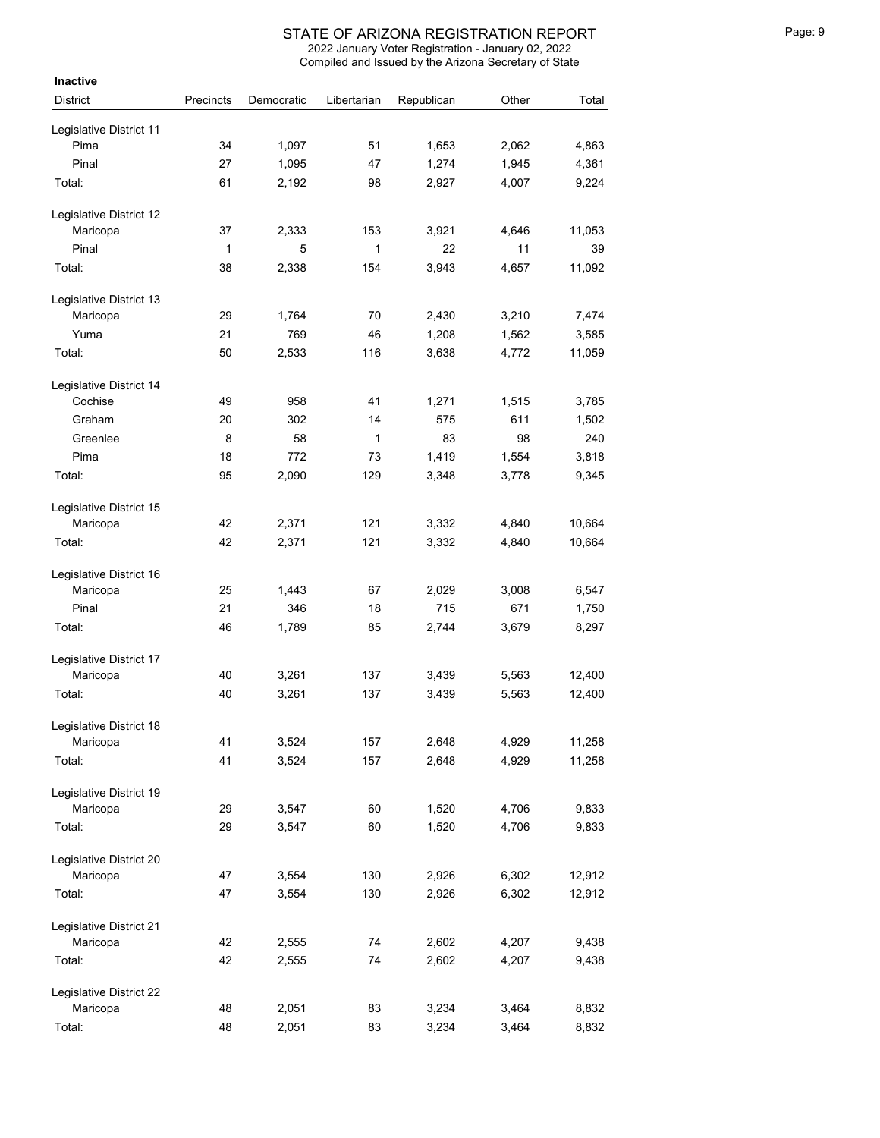| Inactive                |           |            |             |            |       |        |
|-------------------------|-----------|------------|-------------|------------|-------|--------|
| <b>District</b>         | Precincts | Democratic | Libertarian | Republican | Other | Total  |
| Legislative District 11 |           |            |             |            |       |        |
| Pima                    | 34        | 1,097      | 51          | 1,653      | 2,062 | 4,863  |
| Pinal                   | 27        | 1,095      | 47          | 1,274      | 1,945 | 4,361  |
| Total:                  | 61        | 2,192      | 98          | 2,927      | 4,007 | 9,224  |
| Legislative District 12 |           |            |             |            |       |        |
| Maricopa                | 37        | 2,333      | 153         | 3,921      | 4,646 | 11,053 |
| Pinal                   | 1         | 5          | 1           | 22         | 11    | 39     |
| Total:                  | 38        | 2,338      | 154         | 3,943      | 4,657 | 11,092 |
| Legislative District 13 |           |            |             |            |       |        |
| Maricopa                | 29        | 1,764      | 70          | 2,430      | 3,210 | 7,474  |
| Yuma                    | 21        | 769        | 46          | 1,208      | 1,562 | 3,585  |
| Total:                  | 50        | 2,533      | 116         | 3,638      | 4,772 | 11,059 |
| Legislative District 14 |           |            |             |            |       |        |
| Cochise                 | 49        | 958        | 41          | 1,271      | 1,515 | 3,785  |
| Graham                  | 20        | 302        | 14          | 575        | 611   | 1,502  |
| Greenlee                | 8         | 58         | 1           | 83         | 98    | 240    |
| Pima                    | 18        | 772        | 73          | 1,419      | 1,554 | 3,818  |
| Total:                  | 95        | 2,090      | 129         | 3,348      | 3,778 | 9,345  |
| Legislative District 15 |           |            |             |            |       |        |
| Maricopa                | 42        | 2,371      | 121         | 3,332      | 4,840 | 10,664 |
| Total:                  | 42        | 2,371      | 121         | 3,332      | 4,840 | 10,664 |
| Legislative District 16 |           |            |             |            |       |        |
| Maricopa                | 25        | 1,443      | 67          | 2,029      | 3,008 | 6,547  |
| Pinal                   | 21        | 346        | 18          | 715        | 671   | 1,750  |
| Total:                  | 46        | 1,789      | 85          | 2,744      | 3,679 | 8,297  |
| Legislative District 17 |           |            |             |            |       |        |
| Maricopa                | 40        | 3,261      | 137         | 3,439      | 5,563 | 12,400 |
| Total:                  | 40        | 3,261      | 137         | 3,439      | 5,563 | 12,400 |
| Legislative District 18 |           |            |             |            |       |        |
| Maricopa                | 41        | 3,524      | 157         | 2,648      | 4,929 | 11,258 |
| Total:                  | 41        | 3,524      | 157         | 2,648      | 4,929 | 11,258 |
| Legislative District 19 |           |            |             |            |       |        |
| Maricopa                | 29        | 3,547      | 60          | 1,520      | 4,706 | 9,833  |
| Total:                  | 29        | 3,547      | 60          | 1,520      | 4,706 | 9,833  |
| Legislative District 20 |           |            |             |            |       |        |
| Maricopa                | 47        | 3,554      | 130         | 2,926      | 6,302 | 12,912 |
| Total:                  | 47        | 3,554      | 130         | 2,926      | 6,302 | 12,912 |
| Legislative District 21 |           |            |             |            |       |        |
| Maricopa                | 42        | 2,555      | 74          | 2,602      | 4,207 | 9,438  |
| Total:                  | 42        | 2,555      | 74          | 2,602      | 4,207 | 9,438  |
| Legislative District 22 |           |            |             |            |       |        |
| Maricopa                | 48        | 2,051      | 83          | 3,234      | 3,464 | 8,832  |
| Total:                  | 48        | 2,051      | 83          | 3,234      | 3,464 | 8,832  |